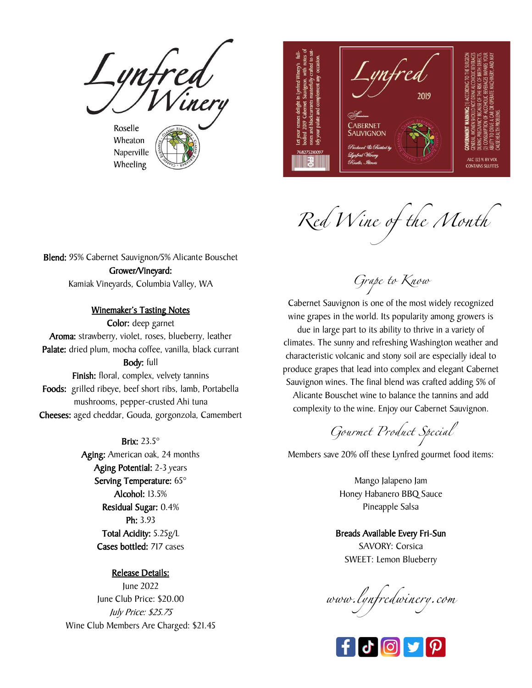Lynfred<br>I Winer Roselle Wheaton

Naperville Wheeling



Red Wine of the Month

Blend: 95% Cabernet Sauvignon/5% Alicante Bouschet Grower/Vineyard: Kamiak Vineyards, Columbia Valley, WA

#### Winemaker's Tasting Notes

Color: deep garnet Aroma: strawberry, violet, roses, blueberry, leather Palate: dried plum, mocha coffee, vanilla, black currant Body: full Finish: floral, complex, velvety tannins Foods: grilled ribeye, beef short ribs, lamb, Portabella mushrooms, pepper-crusted Ahi tuna Cheeses: aged cheddar, Gouda, gorgonzola, Camembert

#### Brix: 23.5°

Aging: American oak, 24 months Aging Potential: 2-3 years Serving Temperature: 65° Alcohol: 13.5% Residual Sugar: 0.4% Ph: 3.93 Total Acidity: 5.25g/L Cases bottled: 717 cases

#### Release Details:

June 2022 June Club Price: \$20.00 July Price: \$25.75 Wine Club Members Are Charged: \$21.45 Grape to Know

Cabernet Sauvignon is one of the most widely recognized wine grapes in the world. Its popularity among growers is due in large part to its ability to thrive in a variety of climates. The sunny and refreshing Washington weather and characteristic volcanic and stony soil are especially ideal to produce grapes that lead into complex and elegant Cabernet Sauvignon wines. The final blend was crafted adding 5% of

Alicante Bouschet wine to balance the tannins and add complexity to the wine. Enjoy our Cabernet Sauvignon.

Gourmet Product Special

Members save 20% off these Lynfred gourmet food items:

Mango Jalapeno Jam Honey Habanero BBQ Sauce Pineapple Salsa

Breads Available Every Fri-Sun SAVORY: Corsica SWEET: Lemon Blueberry

www.lynfredwinery.com